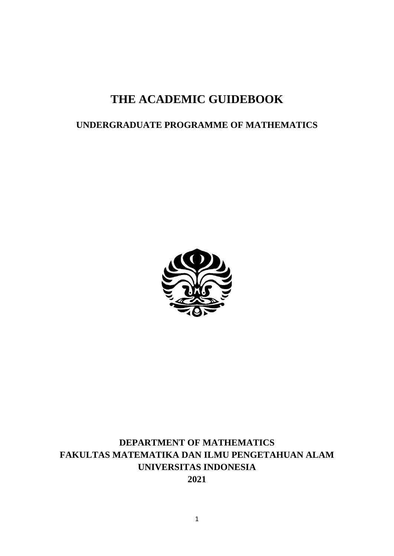# **THE ACADEMIC GUIDEBOOK**

## **UNDERGRADUATE PROGRAMME OF MATHEMATICS**



## **DEPARTMENT OF MATHEMATICS FAKULTAS MATEMATIKA DAN ILMU PENGETAHUAN ALAM UNIVERSITAS INDONESIA 2021**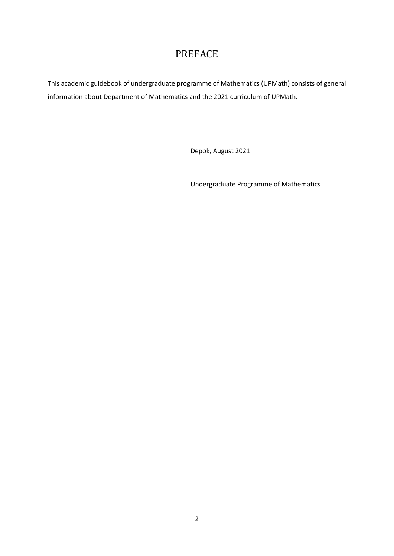## PREFACE

<span id="page-1-0"></span>This academic guidebook of undergraduate programme of Mathematics (UPMath) consists of general information about Department of Mathematics and the 2021 curriculum of UPMath.

Depok, August 2021

Undergraduate Programme of Mathematics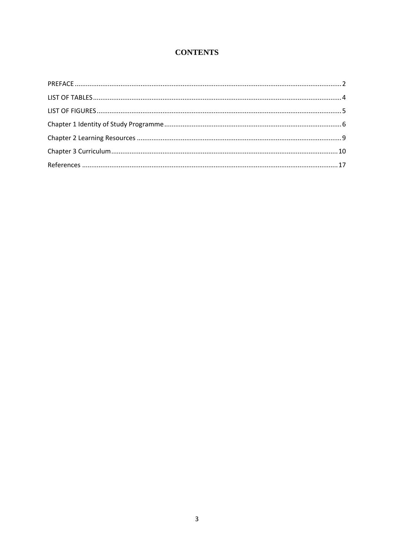## **CONTENTS**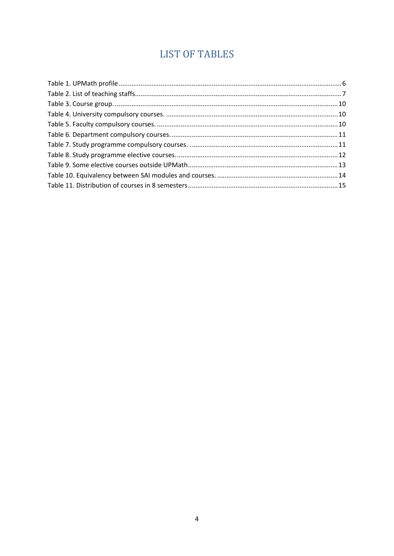# **LIST OF TABLES**

<span id="page-3-0"></span>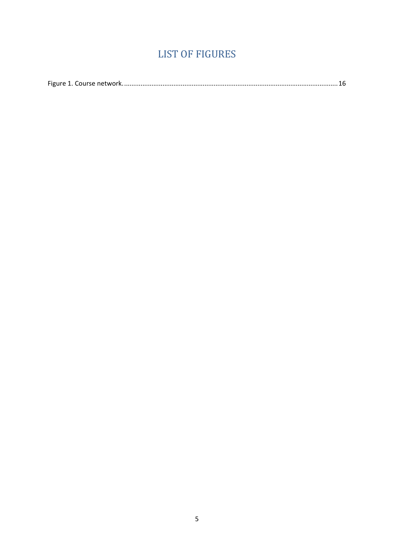# **LIST OF FIGURES**

<span id="page-4-0"></span>

|--|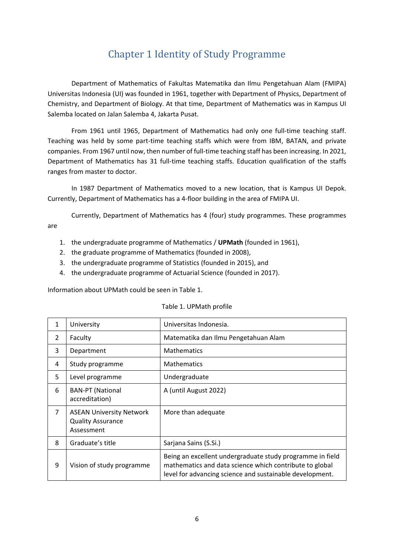# Chapter 1 Identity of Study Programme

<span id="page-5-0"></span>Department of Mathematics of Fakultas Matematika dan Ilmu Pengetahuan Alam (FMIPA) Universitas Indonesia (UI) was founded in 1961, together with Department of Physics, Department of Chemistry, and Department of Biology. At that time, Department of Mathematics was in Kampus UI Salemba located on Jalan Salemba 4, Jakarta Pusat.

From 1961 until 1965, Department of Mathematics had only one full-time teaching staff. Teaching was held by some part-time teaching staffs which were from IBM, BATAN, and private companies. From 1967 until now, then number of full-time teaching staff has been increasing. In 2021, Department of Mathematics has 31 full-time teaching staffs. Education qualification of the staffs ranges from master to doctor.

In 1987 Department of Mathematics moved to a new location, that is Kampus UI Depok. Currently, Department of Mathematics has a 4-floor building in the area of FMIPA UI.

Currently, Department of Mathematics has 4 (four) study programmes. These programmes are

- 1. the undergraduate programme of Mathematics / **UPMath** (founded in 1961),
- 2. the graduate programme of Mathematics (founded in 2008),
- 3. the undergraduate programme of Statistics (founded in 2015), and
- 4. the undergraduate programme of Actuarial Science (founded in 2017).

Information about UPMath could be seen in Table 1.

<span id="page-5-1"></span>

| $\mathbf{1}$   | University                                                                | Universitas Indonesia.                                                                                                                                                           |
|----------------|---------------------------------------------------------------------------|----------------------------------------------------------------------------------------------------------------------------------------------------------------------------------|
| $\mathfrak{D}$ | Faculty                                                                   | Matematika dan Ilmu Pengetahuan Alam                                                                                                                                             |
| 3              | Department                                                                | <b>Mathematics</b>                                                                                                                                                               |
| 4              | Study programme                                                           | <b>Mathematics</b>                                                                                                                                                               |
| 5              | Level programme                                                           | Undergraduate                                                                                                                                                                    |
| 6              | <b>BAN-PT</b> (National<br>accreditation)                                 | A (until August 2022)                                                                                                                                                            |
| 7              | <b>ASEAN University Network</b><br><b>Quality Assurance</b><br>Assessment | More than adequate                                                                                                                                                               |
| 8              | Graduate's title                                                          | Sarjana Sains (S.Si.)                                                                                                                                                            |
| 9              | Vision of study programme                                                 | Being an excellent undergraduate study programme in field<br>mathematics and data science which contribute to global<br>level for advancing science and sustainable development. |

#### Table 1. UPMath profile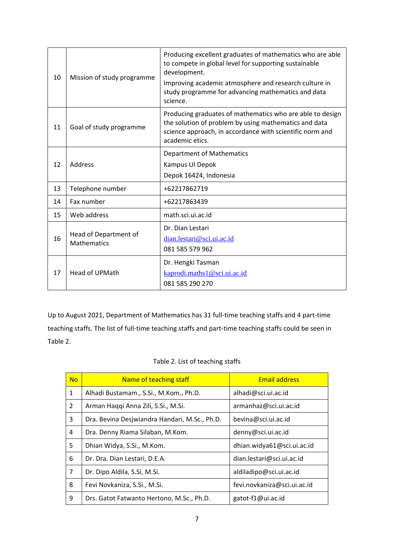| 10 | Mission of study programme           | Producing excellent graduates of mathematics who are able<br>to compete in global level for supporting sustainable<br>development.                                                                |  |  |  |
|----|--------------------------------------|---------------------------------------------------------------------------------------------------------------------------------------------------------------------------------------------------|--|--|--|
|    |                                      | Improving academic atmosphere and research culture in<br>study programme for advancing mathematics and data<br>science.                                                                           |  |  |  |
| 11 | Goal of study programme              | Producing graduates of mathematics who are able to design<br>the solution of problem by using mathematics and data<br>science approach, in accordance with scientific norm and<br>academic etics. |  |  |  |
|    | Address                              | <b>Department of Mathematics</b>                                                                                                                                                                  |  |  |  |
| 12 |                                      | Kampus UI Depok                                                                                                                                                                                   |  |  |  |
|    |                                      | Depok 16424, Indonesia                                                                                                                                                                            |  |  |  |
| 13 | Telephone number                     | +62217862719                                                                                                                                                                                      |  |  |  |
| 14 | Fax number                           | +62217863439                                                                                                                                                                                      |  |  |  |
| 15 | Web address                          | math.sci.ui.ac.id                                                                                                                                                                                 |  |  |  |
|    |                                      | Dr. Dian Lestari                                                                                                                                                                                  |  |  |  |
| 16 | Head of Department of<br>Mathematics | dian.lestari@sci.ui.ac.id                                                                                                                                                                         |  |  |  |
|    |                                      | 081 585 579 962                                                                                                                                                                                   |  |  |  |
|    |                                      | Dr. Hengki Tasman                                                                                                                                                                                 |  |  |  |
| 17 | <b>Head of UPMath</b>                | kaprodi.maths1@sci.ui.ac.id                                                                                                                                                                       |  |  |  |
|    |                                      | 081 585 290 270                                                                                                                                                                                   |  |  |  |

Up to August 2021, Department of Mathematics has 31 full-time teaching staffs and 4 part-time teaching staffs. The list of full-time teaching staffs and part-time teaching staffs could be seen in Table 2.

### Table 2. List of teaching staffs

<span id="page-6-0"></span>

| <b>No</b>      | Name of teaching staff                        | <b>Email address</b>        |
|----------------|-----------------------------------------------|-----------------------------|
| $\mathbf{1}$   | Alhadi Bustamam., S.Si., M.Kom., Ph.D.        | alhadi@sci.ui.ac.id         |
| 2              | Arman Haqqi Anna Zili, S.Si., M.Si.           | armanhaz@sci.ui.ac.id       |
| 3              | Dra. Bevina Desjwiandra Handari, M.Sc., Ph.D. | bevina@sci.ui.ac.id         |
| 4              | Dra. Denny Riama Silaban, M.Kom.              | denny@sci.ui.ac.id          |
| 5              | Dhian Widya, S.Si., M.Kom.                    | dhian.widya61@sci.ui.ac.id  |
| 6              | Dr. Dra. Dian Lestari, D.E.A.                 | dian.lestari@sci.ui.ac.id   |
| $\overline{7}$ | Dr. Dipo Aldila, S.Si, M.Si.                  | aldiladipo@sci.ui.ac.id     |
| 8              | Fevi Novkaniza, S.Si., M.Si.                  | fevi.novkaniza@sci.ui.ac.id |
| 9              | Drs. Gatot Fatwanto Hertono, M.Sc., Ph.D.     | gatot-f1@ui.ac.id           |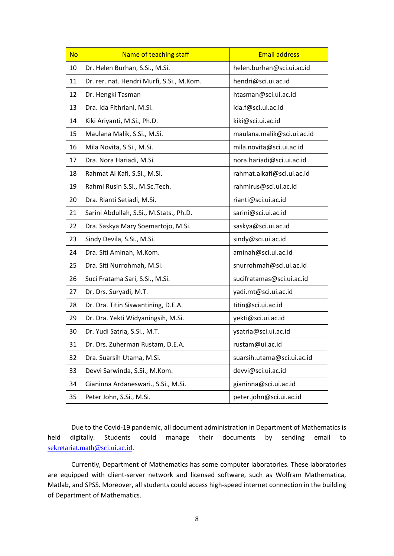| <b>No</b> | Name of teaching staff                    | <b>Email address</b>       |
|-----------|-------------------------------------------|----------------------------|
| 10        | Dr. Helen Burhan, S.Si., M.Si.            | helen.burhan@sci.ui.ac.id  |
| 11        | Dr. rer. nat. Hendri Murfi, S.Si., M.Kom. | hendri@sci.ui.ac.id        |
| 12        | Dr. Hengki Tasman                         | htasman@sci.ui.ac.id       |
| 13        | Dra. Ida Fithriani, M.Si.                 | ida.f@sci.ui.ac.id         |
| 14        | Kiki Ariyanti, M.Si., Ph.D.               | kiki@sci.ui.ac.id          |
| 15        | Maulana Malik, S.Si., M.Si.               | maulana.malik@sci.ui.ac.id |
| 16        | Mila Novita, S.Si., M.Si.                 | mila.novita@sci.ui.ac.id   |
| 17        | Dra. Nora Hariadi, M.Si.                  | nora.hariadi@sci.ui.ac.id  |
| 18        | Rahmat Al Kafi, S.Si., M.Si.              | rahmat.alkafi@sci.ui.ac.id |
| 19        | Rahmi Rusin S.Si., M.Sc.Tech.             | rahmirus@sci.ui.ac.id      |
| 20        | Dra. Rianti Setiadi, M.Si.                | rianti@sci.ui.ac.id        |
| 21        | Sarini Abdullah, S.Si., M.Stats., Ph.D.   | sarini@sci.ui.ac.id        |
| 22        | Dra. Saskya Mary Soemartojo, M.Si.        | saskya@sci.ui.ac.id        |
| 23        | Sindy Devila, S.Si., M.Si.                | sindy@sci.ui.ac.id         |
| 24        | Dra. Siti Aminah, M.Kom.                  | aminah@sci.ui.ac.id        |
| 25        | Dra. Siti Nurrohmah, M.Si.                | snurrohmah@sci.ui.ac.id    |
| 26        | Suci Fratama Sari, S.Si., M.Si.           | sucifratamas@sci.ui.ac.id  |
| 27        | Dr. Drs. Suryadi, M.T.                    | yadi.mt@sci.ui.ac.id       |
| 28        | Dr. Dra. Titin Siswantining, D.E.A.       | titin@sci.ui.ac.id         |
| 29        | Dr. Dra. Yekti Widyaningsih, M.Si.        | yekti@sci.ui.ac.id         |
| 30        | Dr. Yudi Satria, S.Si., M.T.              | ysatria@sci.ui.ac.id       |
| 31        | Dr. Drs. Zuherman Rustam, D.E.A.          | rustam@ui.ac.id            |
| 32        | Dra. Suarsih Utama, M.Si.                 | suarsih.utama@sci.ui.ac.id |
| 33        | Devvi Sarwinda, S.Si., M.Kom.             | devvi@sci.ui.ac.id         |
| 34        | Gianinna Ardaneswari., S.Si., M.Si.       | gianinna@sci.ui.ac.id      |
| 35        | Peter John, S.Si., M.Si.                  | peter.john@sci.ui.ac.id    |

Due to the Covid-19 pandemic, all document administration in Department of Mathematics is held digitally. Students could manage their documents by sending email to [sekretariat.math@sci.ui.ac.id](mailto:sekretariat.math@sci.ui.ac.id).

Currently, Department of Mathematics has some computer laboratories. These laboratories are equipped with client-server network and licensed software, such as Wolfram Mathematica, Matlab, and SPSS. Moreover, all students could access high-speed internet connection in the building of Department of Mathematics.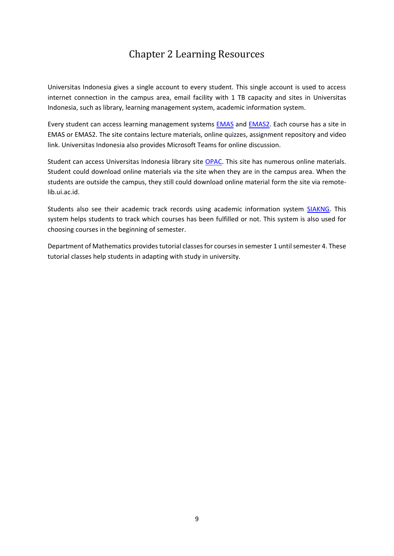## Chapter 2 Learning Resources

<span id="page-8-0"></span>Universitas Indonesia gives a single account to every student. This single account is used to access internet connection in the campus area, email facility with 1 TB capacity and sites in Universitas Indonesia, such as library, learning management system, academic information system.

Every student can access learning management systems **EMAS** and **EMAS2**. Each course has a site in EMAS or EMAS2. The site contains lecture materials, online quizzes, assignment repository and video link. Universitas Indonesia also provides Microsoft Teams for online discussion.

Student can access Universitas Indonesia library site [OPAC.](https://library.ui.ac.id/) This site has numerous online materials. Student could download online materials via the site when they are in the campus area. When the students are outside the campus, they still could download online material form the site via remotelib.ui.ac.id.

Students also see their academic track records using academic information system [SIAKNG.](https://academic.ui.ac.id/main/Authentication/) This system helps students to track which courses has been fulfilled or not. This system is also used for choosing courses in the beginning of semester.

Department of Mathematics provides tutorial classes for courses in semester 1 until semester 4. These tutorial classes help students in adapting with study in university.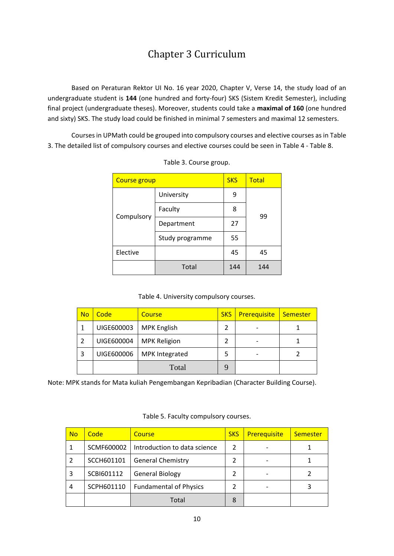# Chapter 3 Curriculum

<span id="page-9-0"></span>Based on Peraturan Rektor UI No. 16 year 2020, Chapter V, Verse 14, the study load of an undergraduate student is **144** (one hundred and forty-four) SKS (Sistem Kredit Semester), including final project (undergraduate theses). Moreover, students could take a **maximal of 160** (one hundred and sixty) SKS. The study load could be finished in minimal 7 semesters and maximal 12 semesters.

<span id="page-9-1"></span>Courses in UPMath could be grouped into compulsory courses and elective courses as in Table 3. The detailed list of compulsory courses and elective courses could be seen in Table 4 - Table 8.

| <b>Course group</b> | <b>SKS</b>      | <b>Total</b> |     |
|---------------------|-----------------|--------------|-----|
|                     | University      | 9            |     |
|                     | Faculty         | 8            | 99  |
| Compulsory          | Department      | 27           |     |
|                     | Study programme | 55           |     |
| Elective            |                 | 45           | 45  |
| Total               |                 | 144          | 144 |

| Table 3. Course group. |  |  |
|------------------------|--|--|
|------------------------|--|--|

### Table 4. University compulsory courses.

<span id="page-9-2"></span>

| <b>No</b> | Code       | Course                | <b>SKS</b> | Prerequisite | <b>Semester</b> |
|-----------|------------|-----------------------|------------|--------------|-----------------|
|           | UIGE600003 | <b>MPK English</b>    |            |              |                 |
|           | UIGE600004 | <b>MPK Religion</b>   |            |              |                 |
| 3         | UIGE600006 | <b>MPK Integrated</b> | 5          |              |                 |
|           |            | Total                 |            |              |                 |

Note: MPK stands for Mata kuliah Pengembangan Kepribadian (Character Building Course).

<span id="page-9-3"></span>

| <b>No</b> | Code       | <b>Course</b>                 | <b>SKS</b> | Prerequisite | Semester |
|-----------|------------|-------------------------------|------------|--------------|----------|
|           | SCMF600002 | Introduction to data science  | 2          |              |          |
|           | SCCH601101 | <b>General Chemistry</b>      | 2          |              |          |
| 3         | SCBI601112 | <b>General Biology</b>        | 2          |              |          |
| 4         | SCPH601110 | <b>Fundamental of Physics</b> | 2          |              |          |
|           |            | Total                         | 8          |              |          |

#### Table 5. Faculty compulsory courses.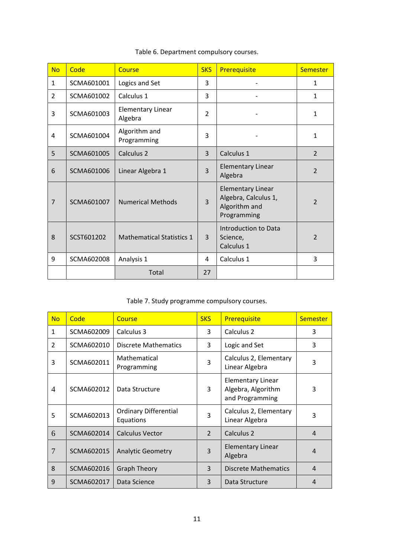<span id="page-10-0"></span>

| <b>No</b>      | Code       | Course                              | <b>SKS</b>     | Prerequisite                                                                     | <b>Semester</b> |
|----------------|------------|-------------------------------------|----------------|----------------------------------------------------------------------------------|-----------------|
| $\mathbf{1}$   | SCMA601001 | Logics and Set                      | 3              |                                                                                  |                 |
| $\mathcal{L}$  | SCMA601002 | Calculus 1                          | 3              |                                                                                  | $\mathbf{1}$    |
| 3              | SCMA601003 | <b>Elementary Linear</b><br>Algebra | $\mathcal{P}$  |                                                                                  | 1               |
| 4              | SCMA601004 | Algorithm and<br>Programming        | 3              |                                                                                  | 1               |
| 5              | SCMA601005 | Calculus <sub>2</sub>               | $\overline{3}$ | Calculus 1                                                                       | $\overline{2}$  |
| 6              | SCMA601006 | Linear Algebra 1                    | $\overline{3}$ | <b>Elementary Linear</b><br>Algebra                                              | $\overline{2}$  |
| $\overline{7}$ | SCMA601007 | <b>Numerical Methods</b>            | $\overline{3}$ | <b>Elementary Linear</b><br>Algebra, Calculus 1,<br>Algorithm and<br>Programming | $\overline{2}$  |
| 8              | SCST601202 | <b>Mathematical Statistics 1</b>    | $\overline{3}$ | <b>Introduction to Data</b><br>Science,<br>Calculus 1                            | $\overline{2}$  |
| 9              | SCMA602008 | Analysis 1                          | 4              | Calculus 1                                                                       | 3               |
|                |            | Total                               | 27             |                                                                                  |                 |

### Table 6. Department compulsory courses.

### Table 7. Study programme compulsory courses.

<span id="page-10-1"></span>

| <b>No</b>      | Code       | Course                                    | <b>SKS</b>     | <b>Prerequisite</b>                                               | <b>Semester</b> |
|----------------|------------|-------------------------------------------|----------------|-------------------------------------------------------------------|-----------------|
| $\mathbf{1}$   | SCMA602009 | Calculus 3                                | 3              | Calculus 2                                                        | 3               |
| 2              | SCMA602010 | <b>Discrete Mathematics</b>               | 3              | Logic and Set                                                     | 3               |
| 3              | SCMA602011 | Mathematical<br>Programming               | $\overline{3}$ | Calculus 2, Elementary<br>Linear Algebra                          | 3               |
| $\overline{A}$ | SCMA602012 | Data Structure                            | 3              | <b>Elementary Linear</b><br>Algebra, Algorithm<br>and Programming | 3               |
| 5              | SCMA602013 | <b>Ordinary Differential</b><br>Equations | 3              | Calculus 2, Elementary<br>Linear Algebra                          | 3               |
| 6              | SCMA602014 | <b>Calculus Vector</b>                    | 2              | Calculus 2                                                        | 4               |
| 7              | SCMA602015 | <b>Analytic Geometry</b>                  | 3              | <b>Elementary Linear</b><br>Algebra                               | 4               |
| 8              | SCMA602016 | <b>Graph Theory</b>                       | 3              | <b>Discrete Mathematics</b>                                       | 4               |
| 9              | SCMA602017 | Data Science                              | 3              | Data Structure                                                    | 4               |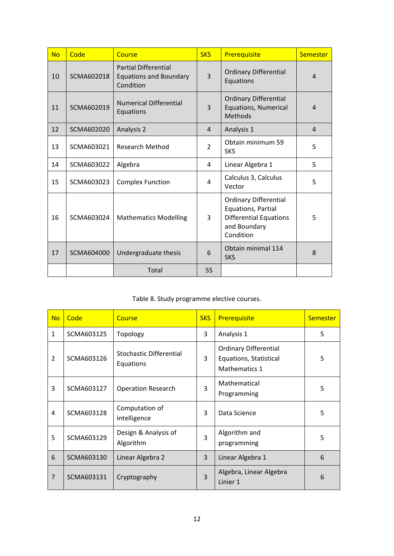| <b>No</b> | Code              | Course                                                                    | <b>SKS</b>     | Prerequisite                                                                                                     | Semester       |
|-----------|-------------------|---------------------------------------------------------------------------|----------------|------------------------------------------------------------------------------------------------------------------|----------------|
| 10        | <b>SCMA602018</b> | <b>Partial Differential</b><br><b>Equations and Boundary</b><br>Condition | $\overline{3}$ | <b>Ordinary Differential</b><br>Equations                                                                        | 4              |
| 11        | SCMA602019        | <b>Numerical Differential</b><br>Equations                                | 3              | <b>Ordinary Differential</b><br>Equations, Numerical<br>Methods                                                  | 4              |
| 12        | SCMA602020        | Analysis 2                                                                | $\overline{4}$ | Analysis 1                                                                                                       | $\overline{4}$ |
| 13        | SCMA603021        | <b>Research Method</b>                                                    | $\overline{2}$ | Obtain minimum 59<br><b>SKS</b>                                                                                  | 5              |
| 14        | SCMA603022        | Algebra                                                                   | 4              | Linear Algebra 1                                                                                                 | 5              |
| 15        | SCMA603023        | <b>Complex Function</b>                                                   | 4              | Calculus 3, Calculus<br>Vector                                                                                   | 5              |
| 16        | SCMA603024        | <b>Mathematics Modelling</b>                                              | 3              | <b>Ordinary Differential</b><br>Equations, Partial<br><b>Differential Equations</b><br>and Boundary<br>Condition | 5              |
| 17        | SCMA604000        | Undergraduate thesis                                                      | 6              | Obtain minimal 114<br><b>SKS</b>                                                                                 | 8              |
|           |                   | Total                                                                     | 55             |                                                                                                                  |                |

Table 8. Study programme elective courses.

<span id="page-11-0"></span>

| <b>No</b>      | Code       | Course                                      | <b>SKS</b>     | Prerequisite                                                            | <b>Semester</b> |
|----------------|------------|---------------------------------------------|----------------|-------------------------------------------------------------------------|-----------------|
| $\mathbf{1}$   | SCMA603125 | Topology                                    | 3              | Analysis 1                                                              | 5               |
| $\overline{2}$ | SCMA603126 | <b>Stochastic Differential</b><br>Equations | 3              | <b>Ordinary Differential</b><br>Equations, Statistical<br>Mathematics 1 | 5               |
| 3              | SCMA603127 | <b>Operation Research</b>                   | 3              | Mathematical<br>Programming                                             | 5               |
| 4              | SCMA603128 | Computation of<br>intelligence              | 3              | Data Science                                                            | 5               |
| 5              | SCMA603129 | Design & Analysis of<br>Algorithm           | $\overline{3}$ | Algorithm and<br>programming                                            | 5               |
| 6              | SCMA603130 | Linear Algebra 2                            | 3              | Linear Algebra 1                                                        | 6               |
| $\overline{7}$ | SCMA603131 | Cryptography                                | 3              | Algebra, Linear Algebra<br>Linier 1                                     | 6               |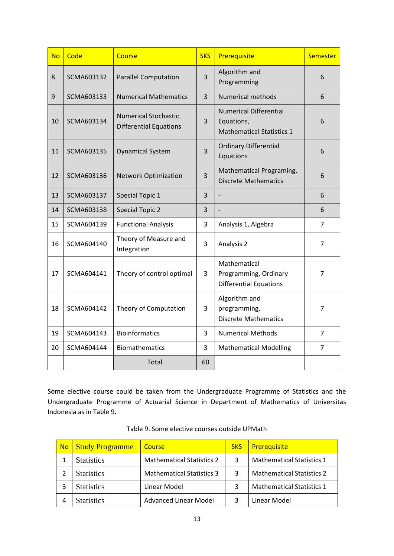| <b>No</b> | Code       | <b>Course</b>                                                | <b>SKS</b>     | Prerequisite                                                                    | <b>Semester</b> |
|-----------|------------|--------------------------------------------------------------|----------------|---------------------------------------------------------------------------------|-----------------|
| 8         | SCMA603132 | <b>Parallel Computation</b>                                  | $\overline{3}$ | Algorithm and<br>Programming                                                    | 6               |
| 9         | SCMA603133 | <b>Numerical Mathematics</b>                                 | $\overline{3}$ | <b>Numerical methods</b>                                                        | 6               |
| 10        | SCMA603134 | <b>Numerical Stochastic</b><br><b>Differential Equations</b> | 3              | <b>Numerical Differential</b><br>Equations,<br><b>Mathematical Statistics 1</b> | 6               |
| 11        | SCMA603135 | <b>Dynamical System</b>                                      | 3              | <b>Ordinary Differential</b><br>Equations                                       | 6               |
| 12        | SCMA603136 | <b>Network Optimization</b>                                  | $\overline{3}$ | Mathematical Programing,<br><b>Discrete Mathematics</b>                         | 6               |
| 13        | SCMA603137 | Special Topic 1                                              | $\overline{3}$ | $\overline{a}$                                                                  | 6               |
| 14        | SCMA603138 | <b>Special Topic 2</b>                                       | 3              |                                                                                 | 6               |
| 15        | SCMA604139 | <b>Functional Analysis</b>                                   | 3              | Analysis 1, Algebra                                                             | $\overline{7}$  |
| 16        | SCMA604140 | Theory of Measure and<br>Integration                         | 3              | Analysis 2                                                                      | $\overline{7}$  |
| 17        | SCMA604141 | Theory of control optimal                                    | 3              | Mathematical<br>Programming, Ordinary<br><b>Differential Equations</b>          | $\overline{7}$  |
| 18        | SCMA604142 | Theory of Computation                                        | 3              | Algorithm and<br>programming,<br><b>Discrete Mathematics</b>                    | $\overline{7}$  |
| 19        | SCMA604143 | <b>Bioinformatics</b>                                        | 3              | <b>Numerical Methods</b>                                                        | $\overline{7}$  |
| 20        | SCMA604144 | <b>Biomathematics</b>                                        | 3              | <b>Mathematical Modelling</b>                                                   | $\overline{7}$  |
|           |            | Total                                                        | 60             |                                                                                 |                 |

Some elective course could be taken from the Undergraduate Programme of Statistics and the Undergraduate Programme of Actuarial Science in Department of Mathematics of Universitas Indonesia as in Table 9.

<span id="page-12-0"></span>

| <b>No</b> | <b>Study Programme</b> | Course                           | <b>SKS</b> | Prerequisite                     |
|-----------|------------------------|----------------------------------|------------|----------------------------------|
|           | <b>Statistics</b>      | <b>Mathematical Statistics 2</b> | 3          | <b>Mathematical Statistics 1</b> |
|           | <b>Statistics</b>      | <b>Mathematical Statistics 3</b> | 3          | <b>Mathematical Statistics 2</b> |
|           | <b>Statistics</b>      | Linear Model                     | 3          | <b>Mathematical Statistics 1</b> |
|           | <b>Statistics</b>      | <b>Advanced Linear Model</b>     |            | Linear Model                     |

#### Table 9. Some elective courses outside UPMath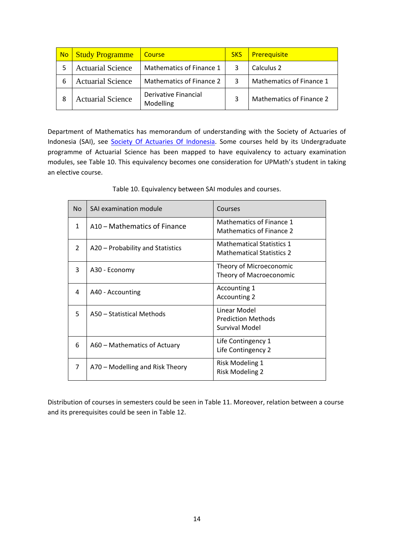| <b>No</b> | <b>Study Programme</b>   | <b>Course</b>                     | <b>SKS</b> | Prerequisite             |
|-----------|--------------------------|-----------------------------------|------------|--------------------------|
|           | <b>Actuarial Science</b> | Mathematics of Finance 1          | 3          | Calculus 2               |
| 6         | <b>Actuarial Science</b> | Mathematics of Finance 2          | 3          | Mathematics of Finance 1 |
| 8         | <b>Actuarial Science</b> | Derivative Financial<br>Modelling | 3          | Mathematics of Finance 2 |

Department of Mathematics has memorandum of understanding with the Society of Actuaries of Indonesia (SAI), see [Society Of Actuaries Of Indonesia.](https://www.aktuaris.or.id/page/content/223/daftar-universitas) Some courses held by its Undergraduate programme of Actuarial Science has been mapped to have equivalency to actuary examination modules, see Table 10. This equivalency becomes one consideration for UPMath's student in taking an elective course.

<span id="page-13-0"></span>

| No.            | SAI examination module           | Courses                                                              |
|----------------|----------------------------------|----------------------------------------------------------------------|
| $\mathbf{1}$   | A10 – Mathematics of Finance     | Mathematics of Finance 1<br>Mathematics of Finance 2                 |
| $\overline{2}$ | A20 – Probability and Statistics | <b>Mathematical Statistics 1</b><br><b>Mathematical Statistics 2</b> |
| 3              | A30 - Economy                    | Theory of Microeconomic<br>Theory of Macroeconomic                   |
| 4              | A40 - Accounting                 | Accounting 1<br><b>Accounting 2</b>                                  |
| 5              | A50 - Statistical Methods        | Linear Model<br><b>Prediction Methods</b><br>Survival Model          |
| 6              | A60 – Mathematics of Actuary     | Life Contingency 1<br>Life Contingency 2                             |
| $\overline{7}$ | A70 – Modelling and Risk Theory  | <b>Risk Modeling 1</b><br><b>Risk Modeling 2</b>                     |

Table 10. Equivalency between SAI modules and courses.

Distribution of courses in semesters could be seen in Table 11. Moreover, relation between a course and its prerequisites could be seen in Table 12.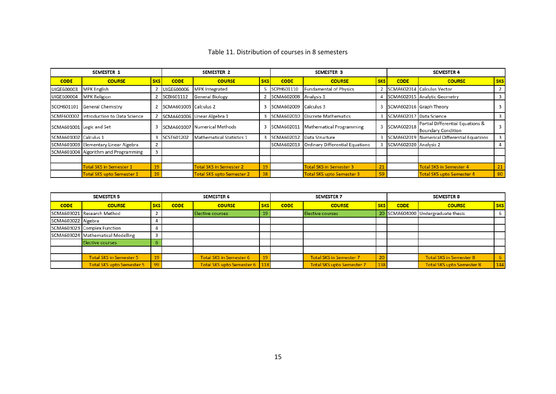### Table 11. Distribution of courses in 8 semesters

| <b>SEMESTER 1</b>        |                                         |            |                       | <b>SEMESTER 2</b>                | <b>SEMESTER 3</b> |                       |                                   | <b>SEMESTER 4</b> |                         |                                                               |            |
|--------------------------|-----------------------------------------|------------|-----------------------|----------------------------------|-------------------|-----------------------|-----------------------------------|-------------------|-------------------------|---------------------------------------------------------------|------------|
| <b>CODE</b>              | <b>COURSE</b>                           | <b>SKS</b> | <b>CODE</b>           | <b>COURSE</b>                    | <b>SKS</b>        | <b>CODE</b>           | <b>COURSE</b>                     | <b>SKS</b>        | <b>CODE</b>             | <b>COURSE</b>                                                 | <b>SKS</b> |
| UIGE600003               | <b>MPK</b> English                      |            | <b>UIGE600006</b>     | <b>MPK</b> Integrated            |                   | SCPH601110            | <b>Fundamental of Physics</b>     |                   |                         | SCMA602014 Calculus Vector                                    | 2          |
| UIGE600004               | <b>MPK Religion</b>                     |            | SCBI601112            | <b>General Biology</b>           |                   | SCMA602008 Analysis 1 |                                   |                   |                         | SCMA602015 Analytic Geometry                                  | 3          |
| SCCH601101               | <b>General Chemistry</b>                |            | SCMA601005 Calculus 2 |                                  |                   | SCMA602009            | Calculus 3                        |                   |                         | SCMA602016 Graph Theory                                       | 3          |
|                          | SCMF600002 Introduction to Data Science |            |                       | SCMA601006 Linear Algebra 1      |                   |                       | SCMA602010   Discrete Mathematics | 3                 | SCMA602017 Data Science |                                                               |            |
| SCMA601001 Logic and Set |                                         |            |                       | SCMA601007 Numerical Methods     |                   | SCMA602011            | Mathematical Programming          | 3                 | SCMA602018              | Partial Differential Equations &<br><b>Boundary Condition</b> | 3          |
| SCMA601002 Calculus 1    |                                         |            | SCST601202            | Mathematical Statistics 1        |                   | SCMA602012            | Data Structure                    | 3                 |                         | SCMA602019 Numerical Differential Equations                   | 3          |
|                          | SCMA601003 Elementary Linear Algebra    |            |                       |                                  |                   | SCMA602013            | Ordinary Differential Equations   |                   | SCMA602020 Analysis 2   |                                                               | 4          |
|                          | SCMA601004 Algorithm and Programming    | 3          |                       |                                  |                   |                       |                                   |                   |                         |                                                               |            |
|                          |                                         |            |                       |                                  |                   |                       |                                   |                   |                         |                                                               |            |
|                          | <b>Total SKS in Semester 1</b>          | 19         |                       | Total SKS in Semester 2          | 19                |                       | <b>Total SKS in Semester 3</b>    | 21                |                         | <b>Total SKS in Semester 4</b>                                | 21         |
|                          | <b>Total SKS upto Semester 1</b>        | 19         |                       | <b>Total SKS upto Semester 2</b> | 38                |                       | <b>Total SKS upto Semester 3</b>  | 59                |                         | <b>Total SKS upto Semester 4</b>                              | 80         |

<span id="page-14-0"></span>

| <b>SEMESTER 5</b>  |                                   |            |             | <b>SEMESTER 6</b>               |            |             | <b>SEMESTER 7</b>                |            |             | <b>SEMESTER 8</b>                  |            |
|--------------------|-----------------------------------|------------|-------------|---------------------------------|------------|-------------|----------------------------------|------------|-------------|------------------------------------|------------|
| <b>CODE</b>        | <b>COURSE</b>                     | <b>SKS</b> | <b>CODE</b> | <b>COURSE</b>                   | <b>SKS</b> | <b>CODE</b> | <b>COURSE</b>                    | <b>SKS</b> | <b>CODE</b> | <b>COURSE</b>                      | <b>SKS</b> |
|                    | SCMA603021 Research Method        |            |             | Elective courses                | 19         |             | <b>Elective courses</b>          |            |             | 20 SCMA604000 Undergraduate thesis | ь          |
| SCMA603022 Algebra |                                   |            |             |                                 |            |             |                                  |            |             |                                    |            |
|                    | SCMA603023 Complex Function       |            |             |                                 |            |             |                                  |            |             |                                    |            |
|                    | SCMA603024 Mathematical Modelling |            |             |                                 |            |             |                                  |            |             |                                    |            |
|                    | Elective courses                  |            |             |                                 |            |             |                                  |            |             |                                    |            |
|                    |                                   |            |             |                                 |            |             |                                  |            |             |                                    |            |
|                    | <b>Total SKS in Semester 5</b>    |            |             | Total SKS in Semester 6         | 19         |             | <b>Total SKS in Semester 7</b>   | 20         |             | Total SKS in Semester 8            |            |
|                    | Total SKS upto Semester 5         | 99         |             | Total SKS upto Semester 6   118 |            |             | <b>Total SKS upto Semester 7</b> | 138        |             | <b>Total SKS upto Semester 8</b>   | 144        |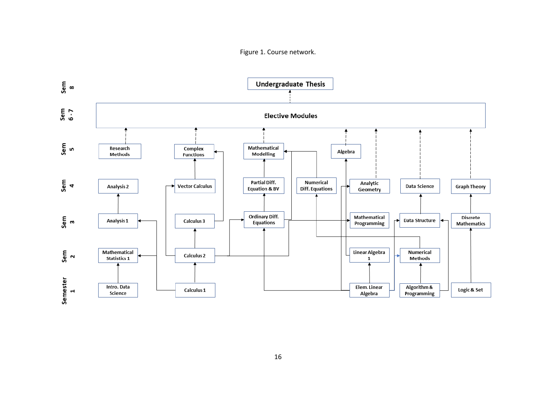#### Figure 1. Course network.

<span id="page-15-0"></span>